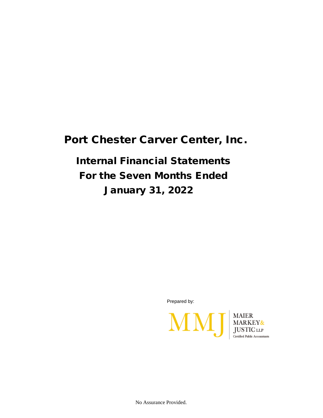## Port Chester Carver Center, Inc.

## Internal Financial Statements For the Seven Months Ended January 31, 2022

Prepared by:



No Assurance Provided.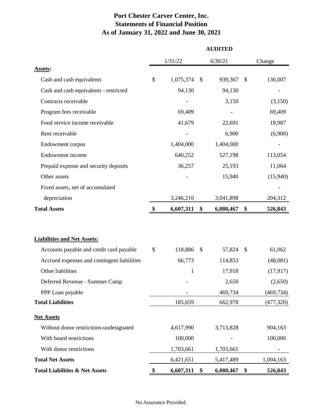## **Port Chester Carver Center, Inc. Statements of Financial Position As of January 31, 2022 and June 30, 2021**

|                                             | <b>AUDITED</b> |              |              |           |                           |            |  |  |  |  |
|---------------------------------------------|----------------|--------------|--------------|-----------|---------------------------|------------|--|--|--|--|
|                                             |                | 1/31/22      |              | 6/30/21   |                           | Change     |  |  |  |  |
| <b>Assets:</b>                              |                |              |              |           |                           |            |  |  |  |  |
| Cash and cash equivalents                   | \$             | 1,075,374    | \$           | 939,367   | \$                        | 136,007    |  |  |  |  |
| Cash and cash equivalents - restricted      |                | 94,130       |              | 94,130    |                           |            |  |  |  |  |
| Contracts receivable                        |                |              |              | 3,150     |                           | (3,150)    |  |  |  |  |
| Program fees receivable                     |                | 69,409       |              |           |                           | 69,409     |  |  |  |  |
| Food service income receivable              |                | 41,679       |              | 22,691    |                           | 18,987     |  |  |  |  |
| Rent receivable                             |                |              |              | 6,900     |                           | (6,900)    |  |  |  |  |
| Endowment corpus                            |                | 1,404,000    |              | 1,404,000 |                           |            |  |  |  |  |
| Endowment income                            |                | 640,252      |              | 527,198   |                           | 113,054    |  |  |  |  |
| Prepaid expense and security deposits       |                | 36,257       |              | 25,193    |                           | 11,064     |  |  |  |  |
| Other assets                                |                |              |              | 15,940    |                           | (15,940)   |  |  |  |  |
| Fixed assets, net of accumulated            |                |              |              |           |                           |            |  |  |  |  |
| depreciation                                |                | 3,246,210    |              | 3,041,898 |                           | 204,312    |  |  |  |  |
| <b>Total Assets</b>                         |                | 6,607,311    | \$           | 6,080,467 | \$                        | 526,843    |  |  |  |  |
| <b>Liabilities and Net Assets:</b>          |                |              |              |           |                           |            |  |  |  |  |
| Accounts payable and credit card payable    | \$             | 118,886      | <sup>S</sup> | 57,824    | $\boldsymbol{\mathsf{S}}$ | 61,062     |  |  |  |  |
| Accrued expenses and contingent liabilities |                | 66,773       |              | 114,853   |                           | (48,081)   |  |  |  |  |
| Other liabilities                           |                | $\mathbf{1}$ |              | 17,918    |                           | (17, 917)  |  |  |  |  |
| Deferred Revenue - Summer Camp              |                |              |              | 2,650     |                           | (2,650)    |  |  |  |  |
| PPP Loan payable                            |                |              |              | 469,734   |                           | (469, 734) |  |  |  |  |
| <b>Total Liabilities</b>                    |                | 185,659      |              | 662,978   |                           | (477, 320) |  |  |  |  |
| <b>Net Assets</b>                           |                |              |              |           |                           |            |  |  |  |  |
| Without donor restrictions-undesignated     |                | 4,617,990    |              | 3,713,828 |                           | 904,163    |  |  |  |  |
| With board restrictions                     |                | 100,000      |              |           |                           | 100,000    |  |  |  |  |
| With donor restrictions                     |                | 1,703,661    |              | 1,703,661 |                           |            |  |  |  |  |
| <b>Total Net Assets</b>                     |                | 6,421,651    |              | 5,417,489 |                           | 1,004,163  |  |  |  |  |
| <b>Total Liabilities &amp; Net Assets</b>   | \$             | 6,607,311    | \$           | 6,080,467 | \$                        | 526,843    |  |  |  |  |